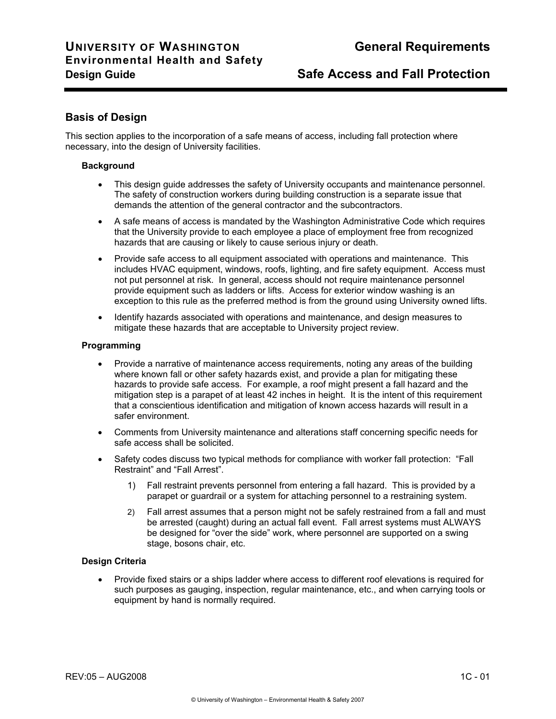# **Basis of Design**

This section applies to the incorporation of a safe means of access, including fall protection where necessary, into the design of University facilities.

## **Background**

- This design guide addresses the safety of University occupants and maintenance personnel. The safety of construction workers during building construction is a separate issue that demands the attention of the general contractor and the subcontractors.
- A safe means of access is mandated by the Washington Administrative Code which requires that the University provide to each employee a place of employment free from recognized hazards that are causing or likely to cause serious injury or death.
- Provide safe access to all equipment associated with operations and maintenance. This includes HVAC equipment, windows, roofs, lighting, and fire safety equipment. Access must not put personnel at risk. In general, access should not require maintenance personnel provide equipment such as ladders or lifts. Access for exterior window washing is an exception to this rule as the preferred method is from the ground using University owned lifts.
- Identify hazards associated with operations and maintenance, and design measures to mitigate these hazards that are acceptable to University project review.

## **Programming**

- Provide a narrative of maintenance access requirements, noting any areas of the building where known fall or other safety hazards exist, and provide a plan for mitigating these hazards to provide safe access. For example, a roof might present a fall hazard and the mitigation step is a parapet of at least 42 inches in height. It is the intent of this requirement that a conscientious identification and mitigation of known access hazards will result in a safer environment.
- Comments from University maintenance and alterations staff concerning specific needs for safe access shall be solicited.
- Safety codes discuss two typical methods for compliance with worker fall protection: "Fall Restraint" and "Fall Arrest".
	- 1) Fall restraint prevents personnel from entering a fall hazard. This is provided by a parapet or guardrail or a system for attaching personnel to a restraining system.
	- 2) Fall arrest assumes that a person might not be safely restrained from a fall and must be arrested (caught) during an actual fall event. Fall arrest systems must ALWAYS be designed for "over the side" work, where personnel are supported on a swing stage, bosons chair, etc.

## **Design Criteria**

• Provide fixed stairs or a ships ladder where access to different roof elevations is required for such purposes as gauging, inspection, regular maintenance, etc., and when carrying tools or equipment by hand is normally required.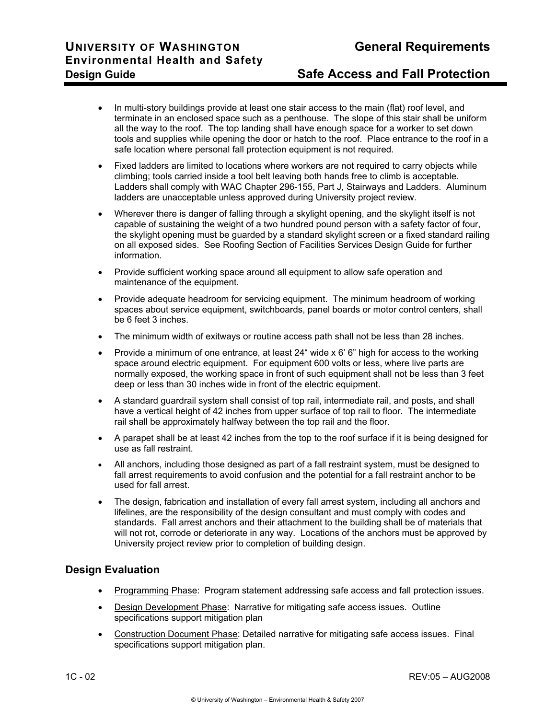- In multi-story buildings provide at least one stair access to the main (flat) roof level, and terminate in an enclosed space such as a penthouse. The slope of this stair shall be uniform all the way to the roof. The top landing shall have enough space for a worker to set down tools and supplies while opening the door or hatch to the roof. Place entrance to the roof in a safe location where personal fall protection equipment is not required.
- Fixed ladders are limited to locations where workers are not required to carry objects while climbing; tools carried inside a tool belt leaving both hands free to climb is acceptable. Ladders shall comply with WAC Chapter 296-155, Part J, Stairways and Ladders. Aluminum ladders are unacceptable unless approved during University project review.
- Wherever there is danger of falling through a skylight opening, and the skylight itself is not capable of sustaining the weight of a two hundred pound person with a safety factor of four, the skylight opening must be guarded by a standard skylight screen or a fixed standard railing on all exposed sides. See Roofing Section of Facilities Services Design Guide for further information.
- Provide sufficient working space around all equipment to allow safe operation and maintenance of the equipment.
- Provide adequate headroom for servicing equipment. The minimum headroom of working spaces about service equipment, switchboards, panel boards or motor control centers, shall be 6 feet 3 inches.
- The minimum width of exitways or routine access path shall not be less than 28 inches.
- Provide a minimum of one entrance, at least 24" wide x 6' 6" high for access to the working space around electric equipment. For equipment 600 volts or less, where live parts are normally exposed, the working space in front of such equipment shall not be less than 3 feet deep or less than 30 inches wide in front of the electric equipment.
- A standard guardrail system shall consist of top rail, intermediate rail, and posts, and shall have a vertical height of 42 inches from upper surface of top rail to floor. The intermediate rail shall be approximately halfway between the top rail and the floor.
- A parapet shall be at least 42 inches from the top to the roof surface if it is being designed for use as fall restraint.
- All anchors, including those designed as part of a fall restraint system, must be designed to fall arrest requirements to avoid confusion and the potential for a fall restraint anchor to be used for fall arrest.
- The design, fabrication and installation of every fall arrest system, including all anchors and lifelines, are the responsibility of the design consultant and must comply with codes and standards. Fall arrest anchors and their attachment to the building shall be of materials that will not rot, corrode or deteriorate in any way. Locations of the anchors must be approved by University project review prior to completion of building design.

# **Design Evaluation**

- Programming Phase: Program statement addressing safe access and fall protection issues.
- Design Development Phase: Narrative for mitigating safe access issues. Outline specifications support mitigation plan
- Construction Document Phase: Detailed narrative for mitigating safe access issues. Final specifications support mitigation plan.